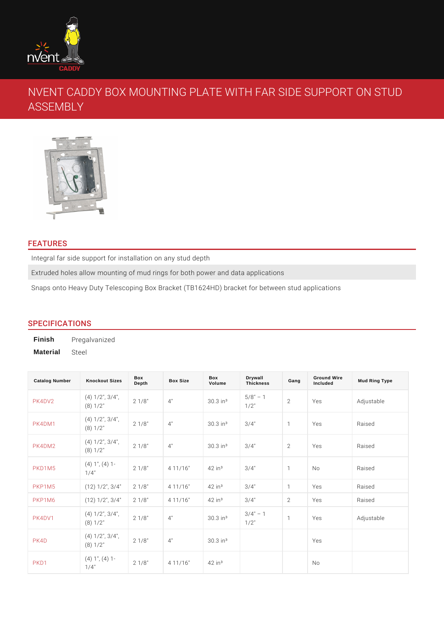# NVENT CADDY BOX MOUNTING PLATE WITH FAR SI ASSEMBLY

# FEATURES

Integral far side support for installation on any stud depth Extruded holes allow mounting of mud rings for both power and data applications Snaps onto Heavy Duty Telescoping Box Bracket (TB1624HD) bracket for betwee

## SPECIFICATIONS

Finish Pregalvanized Material Steel

| <b>Catalog Number</b> | <b>Knockout Sizes</b>                         | Box<br>Depth | <b>Box Size</b>            | Box<br>Volume                  | Drywall<br>Thickness                     | Gang           | <b>Ground Wire</b><br>Included | Mud Ring Type |
|-----------------------|-----------------------------------------------|--------------|----------------------------|--------------------------------|------------------------------------------|----------------|--------------------------------|---------------|
| PK4DY2                | $(4)$ 1/2", $3/4$ " $1/8$ "<br>(8) 1/2"       |              | 4"                         | 30.3 in <sup>3</sup>           | $5/8$ "<br>$\overline{1}$<br>$1/2$ "     | $\overline{2}$ | Yes                            | Adjustable    |
| PK4DM1                | $(4)$ 1/2", $3/4$ "<br>$2/8$ "<br>(8) 1/2"    |              | 4"                         | $30.3$ in $3/4$ "              |                                          | $\mathbf{1}$   | Yes                            | Raised        |
| PK4DM2                | $(4)$ 1/2", $3/4$ " $1/8$ "<br>(8) 1/2"       |              | 4"                         | $30.3$ in <sup>3</sup> $3/4$ " |                                          | 2              | Yes                            | Raised        |
| PKD1M5                | $(4)$ 1", $(4)$ 1-<br>$2^{1}$ 1/8"<br>$1/4$ " |              | 4 11/16                    | $42$ in <sup>3</sup>           | $3/4$ "                                  | $\mathbf{1}$   | N o                            | Raised        |
| PKP1M5                | $(12)$ $1/2$ ", 32/41"/8"                     |              | 4 11/16                    | $42$ in <sup>3</sup>           | $3/4$ "                                  | $\mathbf{1}$   | Yes                            | Raised        |
| PKP1M6                | $(12)$ $1/2$ ", 32/41"/8"                     |              | 4 11/16                    | $42$ in $3$                    | $3/4$ "                                  | 2              | Yes                            | Raised        |
| PK4DV1                | $(4)$ 1/2", $3/4$ "<br>2 1/8"<br>$(8) 1/2$ "  |              | 4"                         | 30.3 in <sup>3</sup>           | $3 / 4$ "<br>$1 / 2$ "<br>$\overline{1}$ | $\mathbf{1}$   | Yes                            | Adjustable    |
| PK4D                  | $(4)$ 1/2", $3/4$ "<br>2 1/8"<br>$(8) 1/2$ "  |              | 4"                         | $30.3$ in <sup>3</sup>         |                                          |                | Yes                            |               |
| PKD <sub>1</sub>      | $(4)$ 1", $(4)$ 1-<br>$1^{2}$ 1/8"<br>$1/4$ " |              | 4 11/16 42 in <sup>3</sup> |                                |                                          |                | N o                            |               |